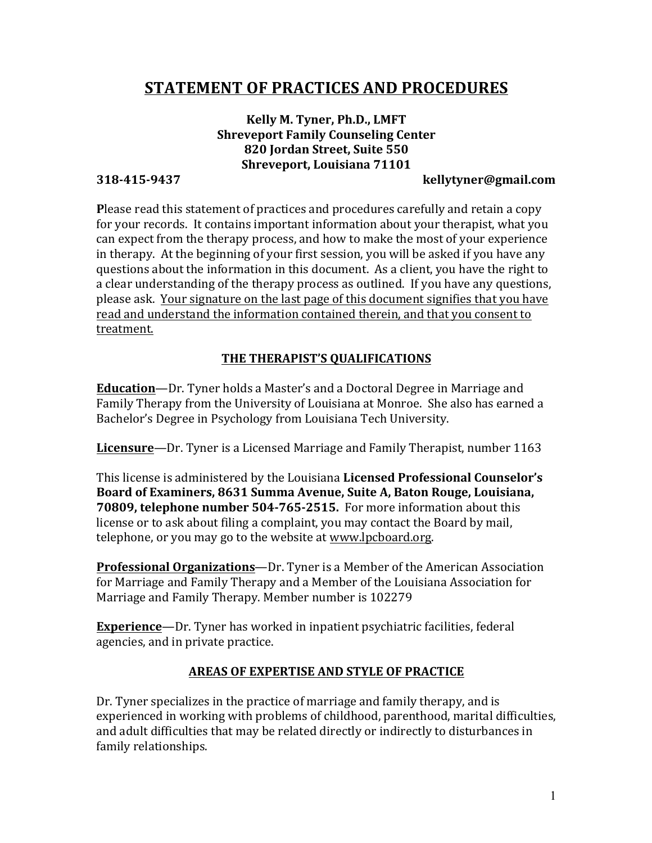# **STATEMENT OF PRACTICES AND PROCEDURES**

# Kelly M. Tyner, Ph.D., LMFT **Shreveport Family Counseling Center 820 Jordan Street, Suite 550 Shreveport, Louisiana 71101**

#### **318-415-9437 kellytyner@gmail.com**

**Please read this statement of practices and procedures carefully and retain a copy** for your records. It contains important information about your therapist, what you can expect from the therapy process, and how to make the most of your experience in therapy. At the beginning of your first session, you will be asked if you have any questions about the information in this document. As a client, you have the right to a clear understanding of the therapy process as outlined. If you have any questions, please ask. Your signature on the last page of this document signifies that you have read and understand the information contained therein, and that you consent to treatment.

#### **THE THERAPIST'S QUALIFICATIONS**

**Education**—Dr. Tyner holds a Master's and a Doctoral Degree in Marriage and Family Therapy from the University of Louisiana at Monroe. She also has earned a Bachelor's Degree in Psychology from Louisiana Tech University.

**Licensure**—Dr. Tyner is a Licensed Marriage and Family Therapist, number 1163

This license is administered by the Louisiana Licensed Professional Counselor's Board of Examiners, 8631 Summa Avenue, Suite A, Baton Rouge, Louisiana, **70809, telephone number 504-765-2515.** For more information about this license or to ask about filing a complaint, you may contact the Board by mail, telephone, or you may go to the website at www.lpcboard.org.

**Professional Organizations**—Dr. Tyner is a Member of the American Association for Marriage and Family Therapy and a Member of the Louisiana Association for Marriage and Family Therapy. Member number is 102279

**Experience**—Dr. Tyner has worked in inpatient psychiatric facilities, federal agencies, and in private practice.

#### **AREAS OF EXPERTISE AND STYLE OF PRACTICE**

Dr. Tyner specializes in the practice of marriage and family therapy, and is experienced in working with problems of childhood, parenthood, marital difficulties, and adult difficulties that may be related directly or indirectly to disturbances in family relationships.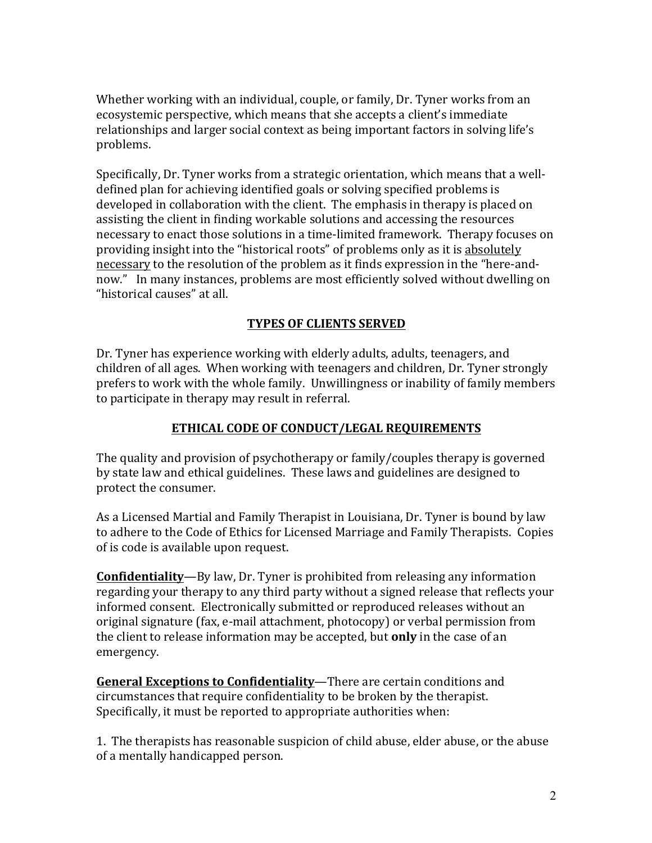Whether working with an individual, couple, or family, Dr. Tyner works from an ecosystemic perspective, which means that she accepts a client's immediate relationships and larger social context as being important factors in solving life's problems.

Specifically, Dr. Tyner works from a strategic orientation, which means that a welldefined plan for achieving identified goals or solving specified problems is developed in collaboration with the client. The emphasis in therapy is placed on assisting the client in finding workable solutions and accessing the resources necessary to enact those solutions in a time-limited framework. Therapy focuses on providing insight into the "historical roots" of problems only as it is absolutely necessary to the resolution of the problem as it finds expression in the "here-andnow." In many instances, problems are most efficiently solved without dwelling on "historical causes" at all.

#### **TYPES OF CLIENTS SERVED**

Dr. Tyner has experience working with elderly adults, adults, teenagers, and children of all ages. When working with teenagers and children, Dr. Tyner strongly prefers to work with the whole family. Unwillingness or inability of family members to participate in therapy may result in referral.

# **ETHICAL CODE OF CONDUCT/LEGAL REQUIREMENTS**

The quality and provision of psychotherapy or family/couples therapy is governed by state law and ethical guidelines. These laws and guidelines are designed to protect the consumer.

As a Licensed Martial and Family Therapist in Louisiana, Dr. Tyner is bound by law to adhere to the Code of Ethics for Licensed Marriage and Family Therapists. Copies of is code is available upon request.

**Confidentiality**—By law, Dr. Tyner is prohibited from releasing any information regarding your therapy to any third party without a signed release that reflects your informed consent. Electronically submitted or reproduced releases without an original signature (fax, e-mail attachment, photocopy) or verbal permission from the client to release information may be accepted, but **only** in the case of an emergency. 

**General Exceptions to Confidentiality**—There are certain conditions and circumstances that require confidentiality to be broken by the therapist. Specifically, it must be reported to appropriate authorities when:

1. The therapists has reasonable suspicion of child abuse, elder abuse, or the abuse of a mentally handicapped person.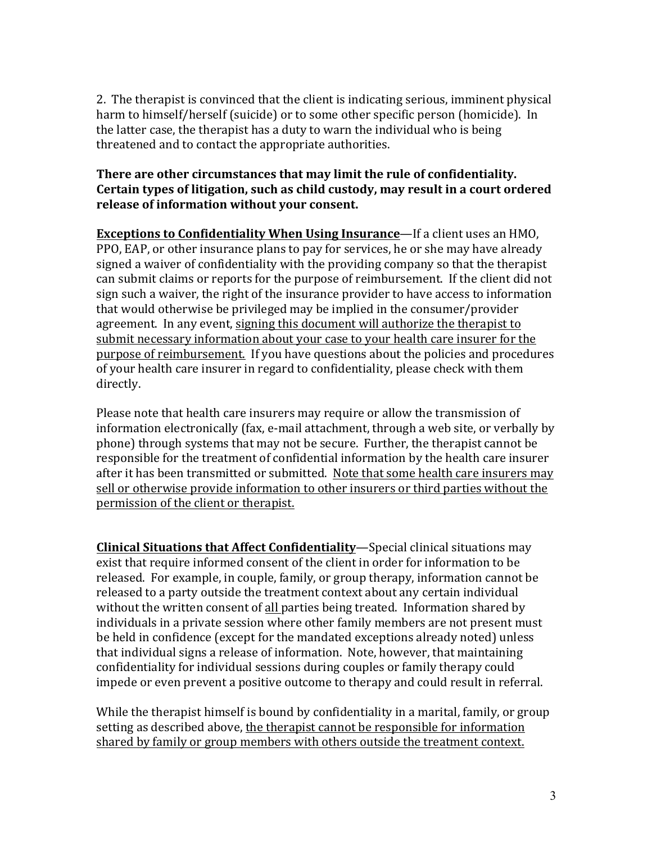2. The therapist is convinced that the client is indicating serious, imminent physical harm to himself/herself (suicide) or to some other specific person (homicide). In the latter case, the therapist has a duty to warn the individual who is being threatened and to contact the appropriate authorities.

#### **There are other circumstances that may limit the rule of confidentiality.** Certain types of litigation, such as child custody, may result in a court ordered release of information without your consent.

**Exceptions to Confidentiality When Using Insurance—If a client uses an HMO,** PPO, EAP, or other insurance plans to pay for services, he or she may have already signed a waiver of confidentiality with the providing company so that the therapist can submit claims or reports for the purpose of reimbursement. If the client did not sign such a waiver, the right of the insurance provider to have access to information that would otherwise be privileged may be implied in the consumer/provider agreement. In any event, signing this document will authorize the therapist to submit necessary information about your case to your health care insurer for the purpose of reimbursement. If you have questions about the policies and procedures of your health care insurer in regard to confidentiality, please check with them directly. 

Please note that health care insurers may require or allow the transmission of information electronically (fax, e-mail attachment, through a web site, or verbally by phone) through systems that may not be secure. Further, the therapist cannot be responsible for the treatment of confidential information by the health care insurer after it has been transmitted or submitted. Note that some health care insurers may sell or otherwise provide information to other insurers or third parties without the permission of the client or therapist.

**Clinical Situations that Affect Confidentiality**—Special clinical situations may exist that require informed consent of the client in order for information to be released. For example, in couple, family, or group therapy, information cannot be released to a party outside the treatment context about any certain individual without the written consent of all parties being treated. Information shared by individuals in a private session where other family members are not present must be held in confidence (except for the mandated exceptions already noted) unless that individual signs a release of information. Note, however, that maintaining confidentiality for individual sessions during couples or family therapy could impede or even prevent a positive outcome to therapy and could result in referral.

While the therapist himself is bound by confidentiality in a marital, family, or group setting as described above, the therapist cannot be responsible for information shared by family or group members with others outside the treatment context.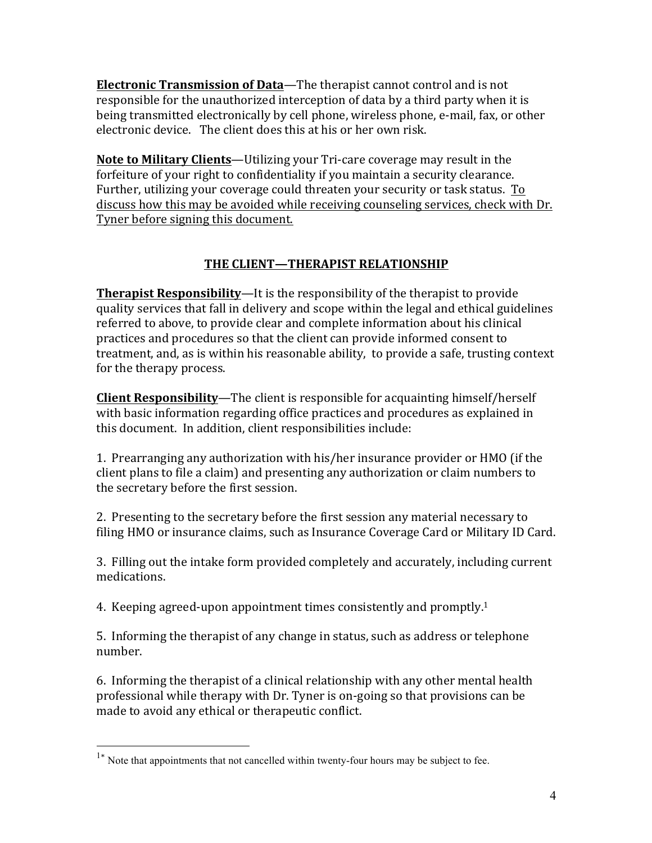**Electronic Transmission of Data—The therapist cannot control and is not** responsible for the unauthorized interception of data by a third party when it is being transmitted electronically by cell phone, wireless phone, e-mail, fax, or other electronic device. The client does this at his or her own risk.

**Note to Military Clients**—Utilizing your Tri-care coverage may result in the forfeiture of your right to confidentiality if you maintain a security clearance. Further, utilizing your coverage could threaten your security or task status. To discuss how this may be avoided while receiving counseling services, check with Dr. Tyner before signing this document.

# **THE CLIENT—THERAPIST RELATIONSHIP**

**Therapist Responsibility—It** is the responsibility of the therapist to provide quality services that fall in delivery and scope within the legal and ethical guidelines referred to above, to provide clear and complete information about his clinical practices and procedures so that the client can provide informed consent to treatment, and, as is within his reasonable ability, to provide a safe, trusting context for the therapy process.

**Client Responsibility**—The client is responsible for acquainting himself/herself with basic information regarding office practices and procedures as explained in this document. In addition, client responsibilities include:

1. Prearranging any authorization with his/her insurance provider or HMO (if the client plans to file a claim) and presenting any authorization or claim numbers to the secretary before the first session.

2. Presenting to the secretary before the first session any material necessary to filing HMO or insurance claims, such as Insurance Coverage Card or Military ID Card.

3. Filling out the intake form provided completely and accurately, including current medications. 

4. Keeping agreed-upon appointment times consistently and promptly.<sup>1</sup>

5. Informing the therapist of any change in status, such as address or telephone number.

6. Informing the therapist of a clinical relationship with any other mental health professional while therapy with Dr. Tyner is on-going so that provisions can be made to avoid any ethical or therapeutic conflict.

<sup>&</sup>lt;sup>1\*</sup> Note that appointments that not cancelled within twenty-four hours may be subject to fee.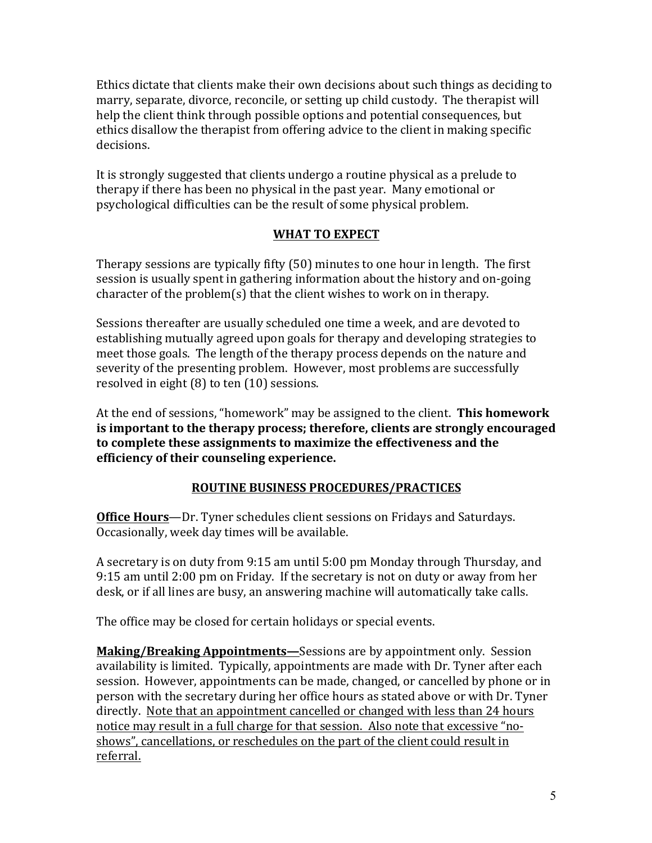Ethics dictate that clients make their own decisions about such things as deciding to marry, separate, divorce, reconcile, or setting up child custody. The therapist will help the client think through possible options and potential consequences, but ethics disallow the therapist from offering advice to the client in making specific decisions. 

It is strongly suggested that clients undergo a routine physical as a prelude to therapy if there has been no physical in the past year. Many emotional or psychological difficulties can be the result of some physical problem.

### WHAT TO EXPECT

Therapy sessions are typically fifty  $(50)$  minutes to one hour in length. The first session is usually spent in gathering information about the history and on-going character of the problem(s) that the client wishes to work on in therapy.

Sessions thereafter are usually scheduled one time a week, and are devoted to establishing mutually agreed upon goals for therapy and developing strategies to meet those goals. The length of the therapy process depends on the nature and severity of the presenting problem. However, most problems are successfully resolved in eight  $(8)$  to ten  $(10)$  sessions.

At the end of sessions, "homework" may be assigned to the client. **This homework is important to the therapy process; therefore, clients are strongly encouraged** to complete these assignments to maximize the effectiveness and the **efficiency of their counseling experience.**

# **ROUTINE BUSINESS PROCEDURES/PRACTICES**

**Office Hours**—Dr. Tyner schedules client sessions on Fridays and Saturdays. Occasionally, week day times will be available.

A secretary is on duty from 9:15 am until 5:00 pm Monday through Thursday, and 9:15 am until 2:00 pm on Friday. If the secretary is not on duty or away from her desk, or if all lines are busy, an answering machine will automatically take calls.

The office may be closed for certain holidays or special events.

**Making/Breaking Appointments—Sessions are by appointment only. Session** availability is limited. Typically, appointments are made with Dr. Tyner after each session. However, appointments can be made, changed, or cancelled by phone or in person with the secretary during her office hours as stated above or with Dr. Tyner directly. Note that an appointment cancelled or changed with less than 24 hours notice may result in a full charge for that session. Also note that excessive "noshows", cancellations, or reschedules on the part of the client could result in referral.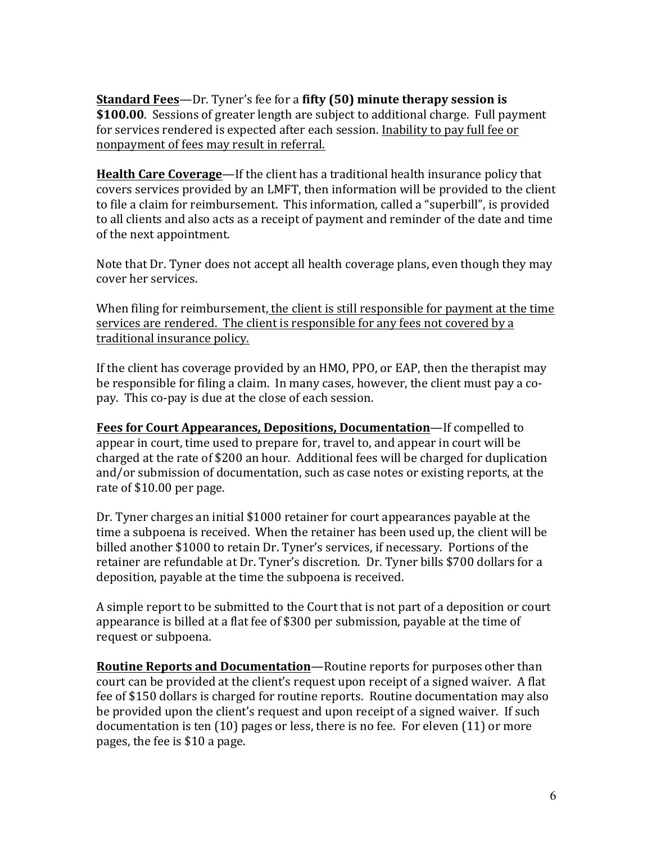**<u>Standard Fees</u>—Dr. Tyner's fee for a fifty (50) minute therapy session is \$100.00**. Sessions of greater length are subject to additional charge. Full payment for services rendered is expected after each session. Inability to pay full fee or nonpayment of fees may result in referral.

**Health Care Coverage**—If the client has a traditional health insurance policy that covers services provided by an LMFT, then information will be provided to the client to file a claim for reimbursement. This information, called a "superbill", is provided to all clients and also acts as a receipt of payment and reminder of the date and time of the next appointment.

Note that Dr. Tyner does not accept all health coverage plans, even though they may cover her services.

When filing for reimbursement, the client is still responsible for payment at the time services are rendered. The client is responsible for any fees not covered by a traditional insurance policy.

If the client has coverage provided by an HMO, PPO, or EAP, then the therapist may be responsible for filing a claim. In many cases, however, the client must pay a copay. This co-pay is due at the close of each session.

**Fees for Court Appearances, Depositions, Documentation—If compelled to** appear in court, time used to prepare for, travel to, and appear in court will be charged at the rate of \$200 an hour. Additional fees will be charged for duplication and/or submission of documentation, such as case notes or existing reports, at the rate of \$10.00 per page.

Dr. Tyner charges an initial \$1000 retainer for court appearances payable at the time a subpoena is received. When the retainer has been used up, the client will be billed another \$1000 to retain Dr. Tyner's services, if necessary. Portions of the retainer are refundable at Dr. Tyner's discretion. Dr. Tyner bills \$700 dollars for a deposition, payable at the time the subpoena is received.

A simple report to be submitted to the Court that is not part of a deposition or court appearance is billed at a flat fee of \$300 per submission, payable at the time of request or subpoena.

**Routine Reports and Documentation**—Routine reports for purposes other than court can be provided at the client's request upon receipt of a signed waiver. A flat fee of \$150 dollars is charged for routine reports. Routine documentation may also be provided upon the client's request and upon receipt of a signed waiver. If such documentation is ten  $(10)$  pages or less, there is no fee. For eleven  $(11)$  or more pages, the fee is \$10 a page.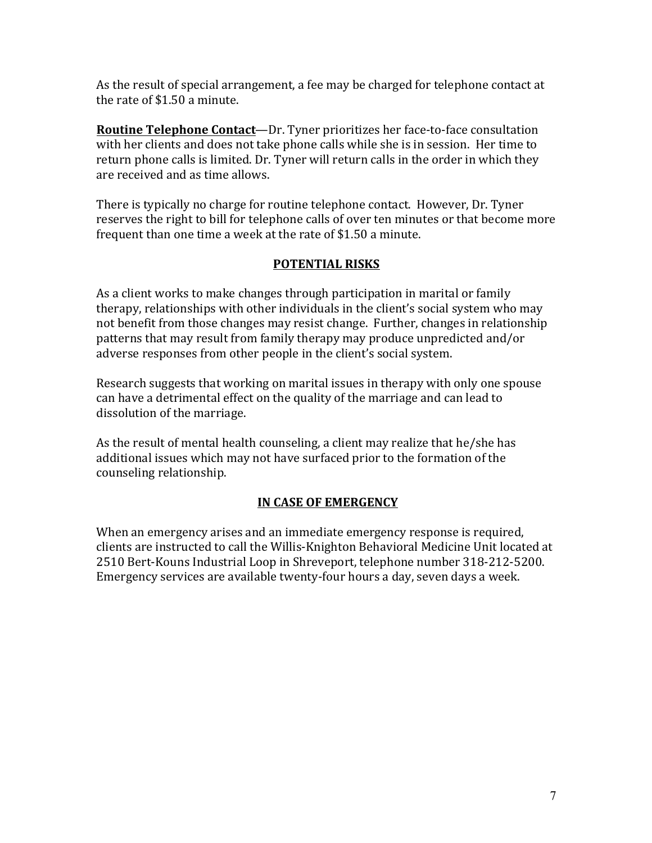As the result of special arrangement, a fee may be charged for telephone contact at the rate of \$1.50 a minute.

**Routine Telephone Contact**—Dr. Tyner prioritizes her face-to-face consultation with her clients and does not take phone calls while she is in session. Her time to return phone calls is limited. Dr. Tyner will return calls in the order in which they are received and as time allows.

There is typically no charge for routine telephone contact. However, Dr. Tyner reserves the right to bill for telephone calls of over ten minutes or that become more frequent than one time a week at the rate of  $$1.50$  a minute.

#### **POTENTIAL RISKS**

As a client works to make changes through participation in marital or family therapy, relationships with other individuals in the client's social system who may not benefit from those changes may resist change. Further, changes in relationship patterns that may result from family therapy may produce unpredicted and/or adverse responses from other people in the client's social system.

Research suggests that working on marital issues in therapy with only one spouse can have a detrimental effect on the quality of the marriage and can lead to dissolution of the marriage.

As the result of mental health counseling, a client may realize that he/she has additional issues which may not have surfaced prior to the formation of the counseling relationship.

#### **IN CASE OF EMERGENCY**

When an emergency arises and an immediate emergency response is required, clients are instructed to call the Willis-Knighton Behavioral Medicine Unit located at 2510 Bert-Kouns Industrial Loop in Shreveport, telephone number 318-212-5200. Emergency services are available twenty-four hours a day, seven days a week.